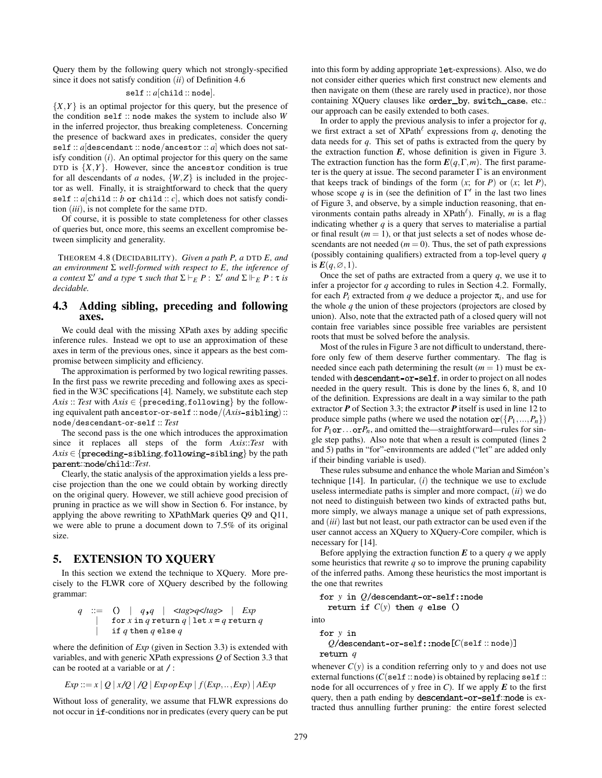Query them by the following query which not strongly-specified since it does not satisfy condition (*ii*) of Definition 4.6

### self :: *a*[child :: node].

 ${X,Y}$  is an optimal projector for this query, but the presence of the condition self :: node makes the system to include also *W* in the inferred projector, thus breaking completeness. Concerning the presence of backward axes in predicates, consider the query self :: *a*[descendant :: node/ancestor :: *a*] which does not satisfy condition (*i*). An optimal projector for this query on the same DTD is  $\{X,Y\}$ . However, since the ancestor condition is true for all descendants of  $a$  nodes,  $\{W, Z\}$  is included in the projector as well. Finally, it is straightforward to check that the query self ::  $a$ [child :: *b* or child ::  $c$ ], which does not satisfy condition (*iii*), is not complete for the same DTD.

Of course, it is possible to state completeness for other classes of queries but, once more, this seems an excellent compromise between simplicity and generality.

THEOREM 4.8 (DECIDABILITY). *Given a path P, a* DTD *E, and an environment* Σ *well-formed with respect to E, the inference of*  $a$  *context*  $\Sigma'$  *and*  $a$  *type*  $\tau$  *such that*  $\Sigma \vdash_E P : \Sigma'$  *and*  $\Sigma \Vdash_E P : \tau$  *is decidable.*

## 4.3 Adding sibling, preceding and following axes.

We could deal with the missing XPath axes by adding specific inference rules. Instead we opt to use an approximation of these axes in term of the previous ones, since it appears as the best compromise between simplicity and efficiency.

The approximation is performed by two logical rewriting passes. In the first pass we rewrite preceding and following axes as specified in the W3C specifications [4]. Namely, we substitute each step *Axis* :: *Test* with  $Axis \in \{ \text{preceding}, \text{following} \}$  by the following equivalent path ancestor-or-self :: node/(*Axis*-sibling): node/descendant-or-self :: *Test*

The second pass is the one which introduces the approximation since it replaces all steps of the form *Axis*::*Test* with  $Axis \in \{ \text{preceding}-sibling, \text{following}-sibling \}$  by the path parent::node/child::Test.

Clearly, the static analysis of the approximation yields a less precise projection than the one we could obtain by working directly on the original query. However, we still achieve good precision of pruning in practice as we will show in Section 6. For instance, by applying the above rewriting to XPathMark queries Q9 and Q11, we were able to prune a document down to 7.5% of its original size.

# 5. EXTENSION TO XQUERY

In this section we extend the technique to XQuery. More precisely to the FLWR core of XQuery described by the following grammar:

*q* ::= | *q q* | <*tag*>*q*</*tag*> | *Exp* | for *x* in *q* return *q* | let *x q* return *q* | if *q* then *q* else *q*

where the definition of *Exp* (given in Section 3.3) is extended with variables, and with generic XPath expressions *Q* of Section 3.3 that can be rooted at a variable or at  $\prime$  :

$$
Exp ::= x | Q | x/Q | Q | Exp op Exp | f (Exp, ..., Exp) | AExp
$$

Without loss of generality, we assume that FLWR expressions do not occur in if-conditions nor in predicates (every query can be put into this form by adding appropriate let-expressions). Also, we do not consider either queries which first construct new elements and then navigate on them (these are rarely used in practice), nor those containing XQuery clauses like order\_by, switch\_case, etc.: our approach can be easily extended to both cases.

In order to apply the previous analysis to infer a projector for *q*, we first extract a set of  $XPath^{\ell}$  expressions from  $q$ , denoting the data needs for *q*. This set of paths is extracted from the query by the extraction function  $E$ , whose definition is given in Figure 3. The extraction function has the form  $E(q, \Gamma, m)$ . The first parameter is the query at issue. The second parameter  $\Gamma$  is an environment that keeps track of bindings of the form  $(x;$  for  $P)$  or  $(x;$  let  $P)$ , whose scope q is in (see the definition of  $\Gamma'$  in the last two lines of Figure 3, and observe, by a simple induction reasoning, that environments contain paths already in XPath<sup> $\ell$ </sup>). Finally, m is a flag indicating whether *q* is a query that serves to materialise a partial or final result ( $m = 1$ ), or that just selects a set of nodes whose descendants are not needed  $(m = 0)$ . Thus, the set of path expressions (possibly containing qualifiers) extracted from a top-level query *q* is  $E(q, \emptyset, 1)$ .

Once the set of paths are extracted from a query *q*, we use it to infer a projector for *q* according to rules in Section 4.2. Formally, for each  $P_i$  extracted from q we deduce a projector  $\pi_i$ , and use for the whole *q* the union of these projectors (projectors are closed by union). Also, note that the extracted path of a closed query will not contain free variables since possible free variables are persistent roots that must be solved before the analysis.

Most of the rules in Figure 3 are not difficult to understand, therefore only few of them deserve further commentary. The flag is needed since each path determining the result  $(m = 1)$  must be extended with descendant-or-self, in order to project on all nodes needed in the query result. This is done by the lines 6, 8, and 10 of the definition. Expressions are dealt in a way similar to the path extractor *P* of Section 3.3; the extractor *P* itself is used in line 12 to produce simple paths (where we used the notation  $\text{or}(\lbrace P_1,...,P_n \rbrace)$ ) for  $P_1$ **or**... **or** $P_n$ , and omitted the—straightforward—rules for single step paths). Also note that when a result is computed (lines 2 and 5) paths in "for"-environments are added ("let" are added only if their binding variable is used).

These rules subsume and enhance the whole Marian and Siméon's technique [14]. In particular, (*i*) the technique we use to exclude useless intermediate paths is simpler and more compact, (*ii*) we do not need to distinguish between two kinds of extracted paths but, more simply, we always manage a unique set of path expressions, and (*iii*) last but not least, our path extractor can be used even if the user cannot access an XQuery to XQuery-Core compiler, which is necessary for [14].

Before applying the extraction function  $E$  to a query  $q$  we apply some heuristics that rewrite  $q$  so to improve the pruning capability of the inferred paths. Among these heuristics the most important is the one that rewrites

for 
$$
y
$$
 in  $Q$ /descendant-or-self::node return if  $C(y)$  then  $q$  else ()

into

### for y in  $Q$ /descendant-or-self::node $[C(\text{self}::\text{node})]$ *q*

whenever  $C(y)$  is a condition referring only to *y* and does not use external functions  $(C(\text{self}::\text{node})$  is obtained by replacing self :: node for all occurrences of  $y$  free in  $C$ ). If we apply  $E$  to the first query, then a path ending by descendant-or-self: node is extracted thus annulling further pruning: the entire forest selected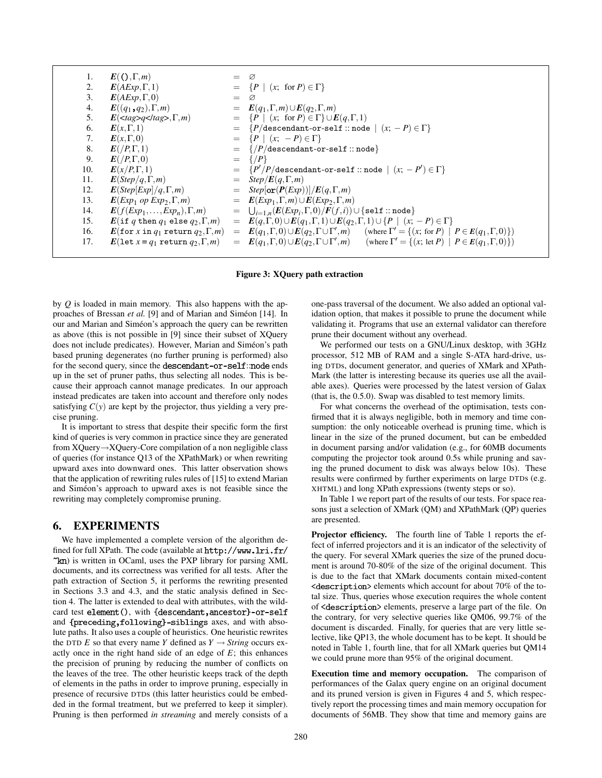| 1.  | $E((\Gamma,\Gamma,m))$                                           |     | Ø                                                                                                                                   |
|-----|------------------------------------------------------------------|-----|-------------------------------------------------------------------------------------------------------------------------------------|
| 2.  | $E(AExp, \Gamma, 1)$                                             |     | $= \{P \mid (x; \text{ for } P) \in \Gamma\}$                                                                                       |
| 3.  | $E(AExp, \Gamma, 0)$                                             |     | $=$ $\varnothing$                                                                                                                   |
| 4.  | $E((q_1,q_2),\Gamma,m)$                                          |     | $= E(q_1,\Gamma,m) \cup E(q_2,\Gamma,m)$                                                                                            |
| 5.  | $E(\langle tag \rangle q \langle tag \rangle, \Gamma, m)$        |     | $= \{P \mid (x; \text{ for } P) \in \Gamma\} \cup E(q, \Gamma, 1)$                                                                  |
| 6.  | $E(x,\Gamma,1)$                                                  | $=$ | $\{P/\text{descendant-or-self}\,::\text{node} \mid (x; -P) \in \Gamma\}$                                                            |
| 7.  | $E(x,\Gamma,0)$                                                  |     | $= \{P \mid (x; -P) \in \Gamma\}$                                                                                                   |
| 8.  | $E(P,\Gamma,1)$                                                  |     | $=$ { $\frac{P}{\text{descendant-or-self}}$ :: node}                                                                                |
| 9.  | $E//P,\Gamma,0)$                                                 | $=$ | $\{P\}$                                                                                                                             |
| 10. | $E(x/P,\Gamma,1)$                                                |     | $= \{P'/P/\text{descendant-or-self}::\text{node} \mid (x; -P') \in \Gamma\}$                                                        |
| 11. | $E(Step/q,\Gamma,m)$                                             |     | $=$ Step/ $E(q,\Gamma,m)$                                                                                                           |
| 12. | $E(Step[Exp]/q, \Gamma, m)$                                      |     | $=$ Step[or( $P(Exp)$ )]/ $E(q, \Gamma, m)$                                                                                         |
| 13. | $E(\mathit{Exp}_1 \text{ op } \mathit{Exp}_2, \Gamma, m)$        |     | $= E(Exp_1, \Gamma, m) \cup E(Exp_2, \Gamma, m)$                                                                                    |
| 14. | $\mathbf{E}(f(\mathit{Exp}_1,\ldots,\mathit{Exp}_n),\Gamma,m)$   |     | $= \quad \textstyle \bigcup_{i=1,n} (E(\textit{Exp}_i, \Gamma, 0) / F(f, i)) \cup \{\texttt{self}::\texttt{node}\}$                 |
| 15. | $E(\text{if } q \text{ then } q_1 \text{ else } q_2, \Gamma, m)$ |     | = $E(q,\Gamma,0) \cup E(q_1,\Gamma,1) \cup E(q_2,\Gamma,1) \cup \{P \mid (x; -P) \in \Gamma\}$                                      |
| 16. | $E$ (for x in $q_1$ return $q_2, \Gamma, m$ )                    |     | $= E(q_1, \Gamma, 0) \cup E(q_2, \Gamma \cup \Gamma', m)$ (where $\Gamma' = \{(x, \text{ for } P) \mid P \in E(q_1, \Gamma, 0)\}\)$ |
| 17. | $E(\text{let } x = q_1 \text{ return } q_2, \Gamma, m)$          |     | $= E(q_1, \Gamma, 0) \cup E(q_2, \Gamma \cup \Gamma', m)$ (where $\Gamma' = \{(x; \text{ let } P) \mid P \in E(q_1, \Gamma, 0)\}\)$ |
|     |                                                                  |     |                                                                                                                                     |

#### Figure 3: XQuery path extraction

by *Q* is loaded in main memory. This also happens with the approaches of Bressan *et al.* [9] and of Marian and Siméon [14]. In our and Marian and Siméon's approach the query can be rewritten as above (this is not possible in [9] since their subset of XQuery does not include predicates). However, Marian and Siméon's path based pruning degenerates (no further pruning is performed) also for the second query, since the descendant-or-self: node ends up in the set of pruner paths, thus selecting all nodes. This is because their approach cannot manage predicates. In our approach instead predicates are taken into account and therefore only nodes satisfying  $C(y)$  are kept by the projector, thus yielding a very precise pruning.

It is important to stress that despite their specific form the first kind of queries is very common in practice since they are generated from XQuery→XQuery-Core compilation of a non negligible class of queries (for instance Q13 of the XPathMark) or when rewriting upward axes into downward ones. This latter observation shows that the application of rewriting rules rules of [15] to extend Marian and Siméon's approach to upward axes is not feasible since the rewriting may completely compromise pruning.

## 6. EXPERIMENTS

We have implemented a complete version of the algorithm defined for full XPath. The code (available at http://www.lri.fr/  $k$ n) is written in OCaml, uses the PXP library for parsing XML documents, and its correctness was verified for all tests. After the path extraction of Section 5, it performs the rewriting presented in Sections 3.3 and 4.3, and the static analysis defined in Section 4. The latter is extended to deal with attributes, with the wildcard test element(), with {descendant, ancestor}-or-self and {preceding, following}-siblings axes, and with absolute paths. It also uses a couple of heuristics. One heuristic rewrites the DTD *E* so that every name *Y* defined as  $Y \rightarrow String$  occurs exactly once in the right hand side of an edge of *E*; this enhances the precision of pruning by reducing the number of conflicts on the leaves of the tree. The other heuristic keeps track of the depth of elements in the paths in order to improve pruning, especially in presence of recursive DTDs (this latter heuristics could be embedded in the formal treatment, but we preferred to keep it simpler). Pruning is then performed *in streaming* and merely consists of a one-pass traversal of the document. We also added an optional validation option, that makes it possible to prune the document while validating it. Programs that use an external validator can therefore prune their document without any overhead.

We performed our tests on a GNU/Linux desktop, with 3GHz processor, 512 MB of RAM and a single S-ATA hard-drive, using DTDs, document generator, and queries of XMark and XPath-Mark (the latter is interesting because its queries use all the available axes). Queries were processed by the latest version of Galax (that is, the 0.5.0). Swap was disabled to test memory limits.

For what concerns the overhead of the optimisation, tests confirmed that it is always negligible, both in memory and time consumption: the only noticeable overhead is pruning time, which is linear in the size of the pruned document, but can be embedded in document parsing and/or validation (e.g., for 60MB documents computing the projector took around 0.5s while pruning and saving the pruned document to disk was always below 10s). These results were confirmed by further experiments on large DTDs (e.g. XHTML) and long XPath expressions (twenty steps or so).

In Table 1 we report part of the results of our tests. For space reasons just a selection of XMark (QM) and XPathMark (QP) queries are presented.

Projector efficiency. The fourth line of Table 1 reports the effect of inferred projectors and it is an indicator of the selectivity of the query. For several XMark queries the size of the pruned document is around 70-80% of the size of the original document. This is due to the fact that XMark documents contain mixed-content  $\leq$  description> elements which account for about 70% of the total size. Thus, queries whose execution requires the whole content of <description> elements, preserve a large part of the file. On the contrary, for very selective queries like QM06, 99.7% of the document is discarded. Finally, for queries that are very little selective, like QP13, the whole document has to be kept. It should be noted in Table 1, fourth line, that for all XMark queries but QM14 we could prune more than 95% of the original document.

Execution time and memory occupation. The comparison of performances of the Galax query engine on an original document and its pruned version is given in Figures 4 and 5, which respectively report the processing times and main memory occupation for documents of 56MB. They show that time and memory gains are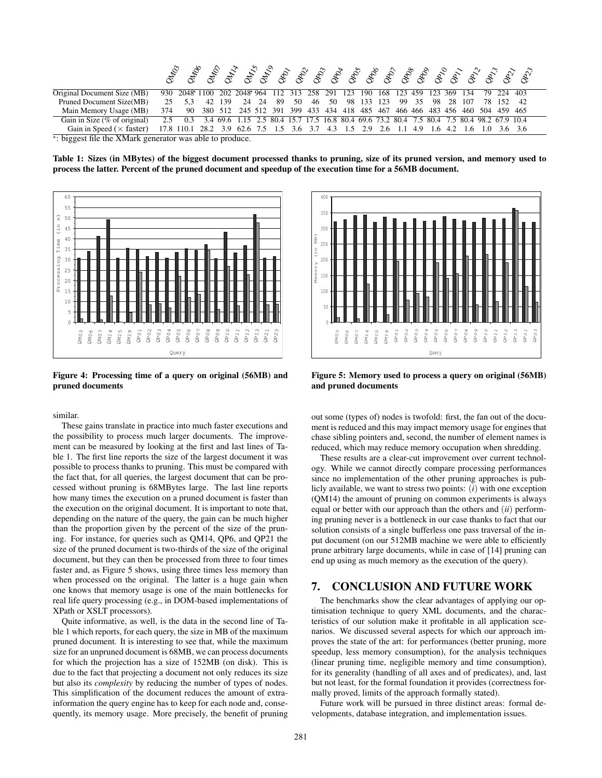|                                                              |     |                                                                                                    | z |        |                                                                             |      |     |    |     |    |    |                             |  |       |    |     |     |            |  |
|--------------------------------------------------------------|-----|----------------------------------------------------------------------------------------------------|---|--------|-----------------------------------------------------------------------------|------|-----|----|-----|----|----|-----------------------------|--|-------|----|-----|-----|------------|--|
| Original Document Size (MB)                                  |     | 930 2048 1100 202 2048 964 112 313 258 291 123                                                     |   |        |                                                                             |      |     |    |     |    |    | 190 168 123 459 123 369 134 |  |       |    |     |     | 79 224 403 |  |
| Pruned Document Size(MB)                                     |     | 25 5.3                                                                                             |   | 42 139 | 24                                                                          | - 24 | -89 | 50 | -46 | 50 | 98 | 133 123                     |  | 99 35 | 98 | -28 | 107 | 78 152 42  |  |
| Main Memory Usage (MB)                                       | 374 | 90                                                                                                 |   |        | 380 512 245 512 391 399 433 434 418 485 467 466 466 483 456 460 504 459 465 |      |     |    |     |    |    |                             |  |       |    |     |     |            |  |
| Gain in Size (% of original)                                 |     | 2.5 0.3 3.4 69.6 1.15 2.5 80.4 15.7 17.5 16.8 80.4 69.6 73.2 80.4 7.5 80.4 7.5 80.4 98.2 67.9 10.4 |   |        |                                                                             |      |     |    |     |    |    |                             |  |       |    |     |     |            |  |
| Gain in Speed ( $\times$ faster)                             |     | 17.8 110.1 28.2 3.9 62.6 7.5 1.5 3.6 3.7 4.3 1.5 2.9 2.6 1.1 4.9 1.6 4.2 1.6 1.0 3.6 3.6           |   |        |                                                                             |      |     |    |     |    |    |                             |  |       |    |     |     |            |  |
| $\star$ biggest file the YMork generator was able to produce |     |                                                                                                    |   |        |                                                                             |      |     |    |     |    |    |                             |  |       |    |     |     |            |  |

: biggest file the XMark generator was able to produce.

Table 1: Sizes (in MBytes) of the biggest document processed thanks to pruning, size of its pruned version, and memory used to process the latter. Percent of the pruned document and speedup of the execution time for a 56MB document.



Figure 4: Processing time of a query on original (56MB) and pruned documents

similar.

These gains translate in practice into much faster executions and the possibility to process much larger documents. The improvement can be measured by looking at the first and last lines of Table 1. The first line reports the size of the largest document it was possible to process thanks to pruning. This must be compared with the fact that, for all queries, the largest document that can be processed without pruning is 68MBytes large. The last line reports how many times the execution on a pruned document is faster than the execution on the original document. It is important to note that, depending on the nature of the query, the gain can be much higher than the proportion given by the percent of the size of the pruning. For instance, for queries such as QM14, QP6, and QP21 the size of the pruned document is two-thirds of the size of the original document, but they can then be processed from three to four times faster and, as Figure 5 shows, using three times less memory than when processed on the original. The latter is a huge gain when one knows that memory usage is one of the main bottlenecks for real life query processing (e.g., in DOM-based implementations of XPath or XSLT processors).

Quite informative, as well, is the data in the second line of Table 1 which reports, for each query, the size in MB of the maximum pruned document. It is interesting to see that, while the maximum size for an unpruned document is 68MB, we can process documents for which the projection has a size of 152MB (on disk). This is due to the fact that projecting a document not only reduces its size but also its *complexity* by reducing the number of types of nodes. This simplification of the document reduces the amount of extrainformation the query engine has to keep for each node and, consequently, its memory usage. More precisely, the benefit of pruning



Figure 5: Memory used to process a query on original (56MB) and pruned documents

out some (types of) nodes is twofold: first, the fan out of the document is reduced and this may impact memory usage for engines that chase sibling pointers and, second, the number of element names is reduced, which may reduce memory occupation when shredding.

These results are a clear-cut improvement over current technology. While we cannot directly compare processing performances since no implementation of the other pruning approaches is publicly available, we want to stress two points: (*i*) with one exception (QM14) the amount of pruning on common experiments is always equal or better with our approach than the others and (*ii*) performing pruning never is a bottleneck in our case thanks to fact that our solution consists of a single bufferless one pass traversal of the input document (on our 512MB machine we were able to efficiently prune arbitrary large documents, while in case of [14] pruning can end up using as much memory as the execution of the query).

# 7. CONCLUSION AND FUTURE WORK

The benchmarks show the clear advantages of applying our optimisation technique to query XML documents, and the characteristics of our solution make it profitable in all application scenarios. We discussed several aspects for which our approach improves the state of the art: for performances (better pruning, more speedup, less memory consumption), for the analysis techniques (linear pruning time, negligible memory and time consumption), for its generality (handling of all axes and of predicates), and, last but not least, for the formal foundation it provides (correctness formally proved, limits of the approach formally stated).

Future work will be pursued in three distinct areas: formal developments, database integration, and implementation issues.